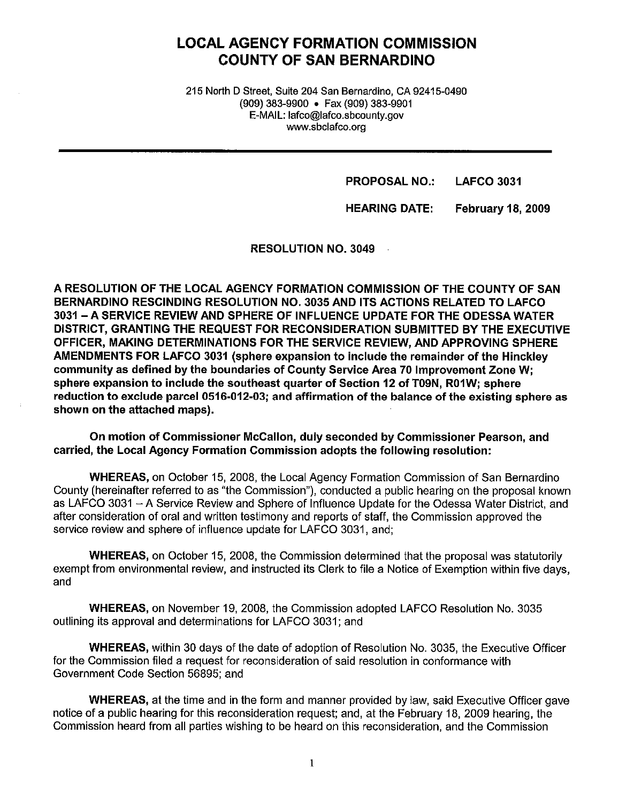# **LOCAL AGENCY FORMATION COMMISSION COUNTY OF SAN BERNARDINO**

215 North D Street, Suite 204 San Bernardino, CA 92415-0490 (909) 383-9900 • Fax (909) 383-9901 E-MAIL: lafco@lafco.sbcounty.gov www.sbclafco.org

> **PROPOSAL NO.: LAFCO 3031**

**HEARING DATE: February 18, 2009** 

**RESOLUTION NO. 3049** 

**A RESOLUTION OF THE LOCAL AGENCY FORMATION COMMISSION OF** THE **COUNTY OF SAN BERNARDINO RESCINDING RESOLUTION NO. 3035 AND ITS ACTIONS RELATED TO LAFCO 3031 -A SERVICE REVIEW AND SPHERE OF INFLUENCE UPDATE FOR THE ODESSA WATER DISTRICT, GRANTING THE REQUEST FOR RECONSIDERATION SUBMITTED BY THE EXECUTIVE OFFICER, MAKING DETERMINATIONS FOR THE SERVICE REVIEW, AND APPROVING SPHERE AMENDMENTS FOR LAFCO 3031 (sphere expansion to include the remainder of the Hinckley community as defined by the boundaries of County Service Area 70 Improvement Zone W; sphere expansion to include the southeast quarter of Section 12 of T09N, R01W; sphere reduction to exclude parcel 0516-012-03; and affirmation of the balance of the existing sphere as shown on the attached maps).** 

**On motion of Commissioner McCallon, duly seconded by Commissioner Pearson, and carried, the Local Agency Formation Commission adopts the following resolution:** 

**WHEREAS,** on October 15, 2008, the Local Agency Formation Commission of San Bernardino County (hereinafter referred to as "the Commission"), conducted a public hearing on the proposal known as LAFCO 3031 - A Service Review and Sphere of Influence Update for the Odessa Water District, and after consideration of oral and written testimony and reports of staff, the Commission approved the service review and sphere of influence update for LAFCO 3031, and;

**WHEREAS,** on October 15, 2008, the Commission determined that the proposal was statutorily exempt from environmental review, and instructed its Clerk to file a Notice of Exemption within five days, and

**WHEREAS,** on November 19, 2008, the Commission adopted LAFCO Resolution No. 3035 outlining its approval and determinations for LAFCO 3031; and

**WHEREAS,** within 30 days of the date of adoption of Resolution No. 3035, the Executive Officer for the Commission filed a request for reconsideration of said resolution in conformance with Government Code Section 56895; and

**WHEREAS,** at the time and in the form and manner provided by law, said Executive Officer gave notice of a public hearing for this reconsideration request; and, at the February 18, 2009 hearing, the Commission heard from all parties wishing to be heard on this reconsideration, and the Commission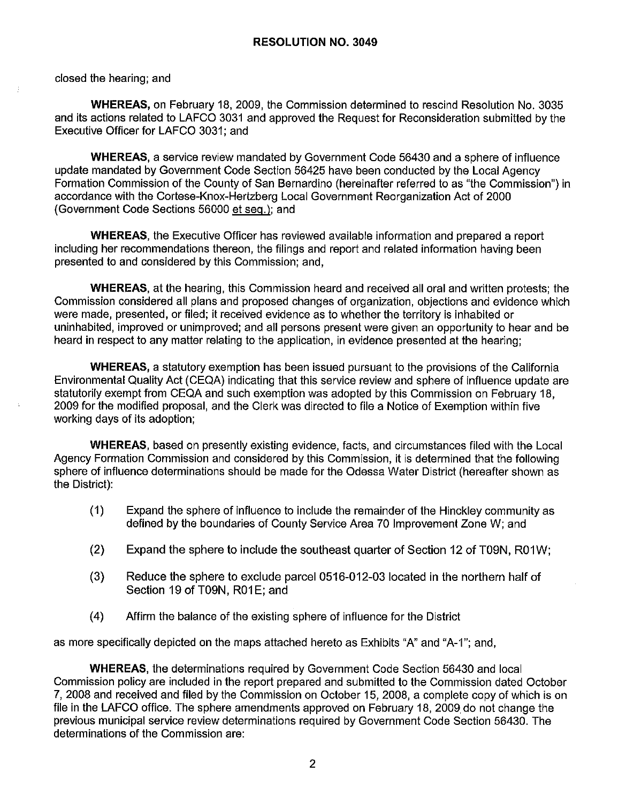closed the hearing; and

**WHEREAS,** on February 18, 2009, the Commission determined to rescind Resolution No. 3035 and its actions related to LAFCO 3031 and approved the Request for Reconsideration submitted by the Executive Officer for LAFCO 3031; and

**WHEREAS,** a service review mandated by Government Code 56430 and a sphere of influence update mandated by Government Code Section 56425 have been conducted by the Local Agency Formation Commission of the County of San Bernardino (hereinafter referred to as "the Commission") in accordance with the Cortese-Knox-Hertzberg Local Government Reorganization Act of 2000 (Government Code Sections 56000 et seq.); and

**WHEREAS,** the Executive Officer has reviewed available information and prepared a report including her recommendations thereon, the filings and report and related information having been presented to and considered by this Commission; and,

**WHEREAS,** at the hearing, this Commission heard and received all oral and written protests; the Commission considered all plans and proposed changes of organization, objections and evidence which were made, presented, or filed; it received evidence as to whether the territory is inhabited or uninhabited, improved or unimproved; and all persons present were given an opportunity to hear and be heard in respect to any matter relating to the application, in evidence presented at the hearing;

**WHEREAS,** a statutory exemption has been issued pursuant to the provisions of the California Environmental Quality Act (CEQA) indicating that this service review and sphere of influence update are statutorily exempt from CEQA and such exemption was adopted by this Commission on February 18, 2009 for the modified proposal, and the Clerk was directed to file a Notice of Exemption within five working days of its adoption;

**WHEREAS,** based on presently existing evidence, facts, and circumstances filed with the Local Agency Formation Commission and considered by this Commission, it is determined that the following sphere of influence determinations should be made for the Odessa Water District (hereafter shown as the District):

- (1) Expand the sphere of influence to include the remainder of the Hinckley community as defined by the boundaries of County Service Area 70 Improvement Zone W; and
- (2) Expand the sphere to include the southeast quarter of Section 12 of T09N, R01W;
- (3) Reduce the sphere to exclude parcel 0516-012-03 located in the northern half of Section 19 of T09N, R01E; and
- (4) Affirm the balance of the existing sphere of influence for the District

as more specifically depicted on the maps attached hereto as Exhibits "A" and "A-1 "; and,

**WHEREAS,** the determinations required by Government Code Section 56430 and local Commission policy are included in the report prepared and submitted to the Commission dated October 7, 2008 and received and filed by the Commission on October 15, 2008, a complete copy of which is on file in the LAFCO office. The sphere amendments approved on February 18, 2009. do not change the previous municipal service review determinations required by Government Code Section 56430. The determinations of the Commission are: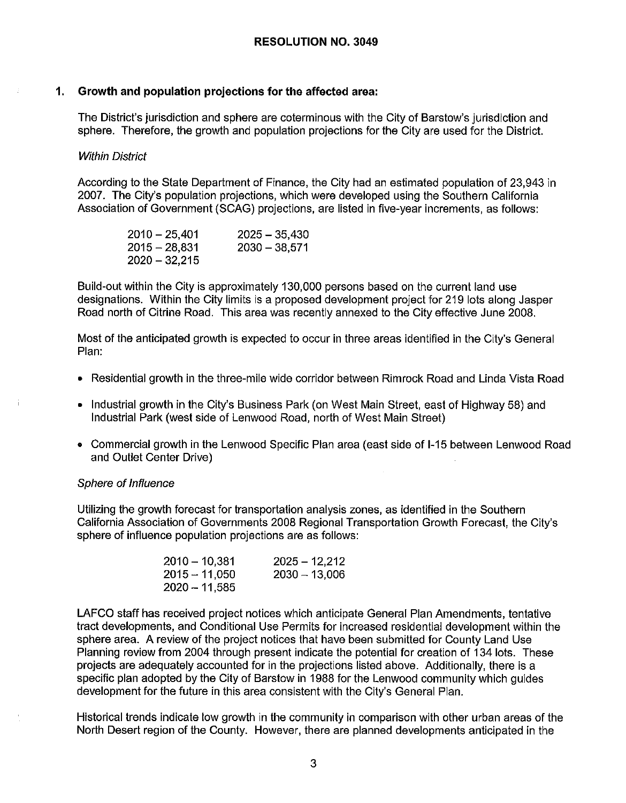## **1. Growth and population projections for the affected area:**

The District's jurisdiction and sphere are coterminous with the City of Barstow's jurisdiction and sphere. Therefore, the growth and population projections for the City are used for the District.

#### Within District

According to the State Department of Finance, the City had an estimated population of 23,943 in 2007. The City's population projections, which were developed using the Southern California Association of Government (SCAG) projections, are listed in five-year increments, as follows:

| $2010 - 25,401$ | $2025 - 35,430$ |
|-----------------|-----------------|
| $2015 - 28,831$ | $2030 - 38,571$ |
| $2020 - 32,215$ |                 |

Build-out within the City is approximately 130,000 persons based on the current land use designations. Within the City limits is a proposed development project for 219 lots along Jasper Road north of Citrine Road. This area was recently annexed to the City effective June 2008.

Most of the anticipated growth is expected to occur in three areas identified in the City's General Plan:

- Residential growth in the three-mile wide corridor between Rimrock Road and Linda Vista Road
- Industrial growth in the City's Business Park (on West Main Street, east of Highway 58) and Industrial Park (west side of Lenwood Road, north of West Main Street)
- Commercial growth in the Lenwood Specific Plan area (east side of 1-15 between Lenwood Road and Outlet Center Drive)

#### Sphere of Influence

Utilizing the growth forecast for transportation analysis zones, as identified in the Southern California Association of Governments 2008 Regional Transportation Growth Forecast, the City's sphere of influence population projections are as follows:

| $2010 - 10,381$ | $2025 - 12,212$ |
|-----------------|-----------------|
| $2015 - 11050$  | $2030 - 13,006$ |
| $2020 - 11,585$ |                 |

LAFCO staff has received project notices which anticipate General Plan Amendments, tentative tract developments, and Conditional Use Permits for increased residential development within the sphere area. A review of the project notices that have been submitted for County Land Use Planning review from 2004 through present indicate the potential for creation of 134 lots. These projects are adequately accounted for in the projections listed above. Additionally, there is a specific plan adopted by the City of Barstow in 1988 for the Lenwood community which guides development for the future in this area consistent with the City's General Plan.

Historical trends indicate low growth in the community in comparison with other urban areas of the North Desert region of the County. However, there are planned developments anticipated in the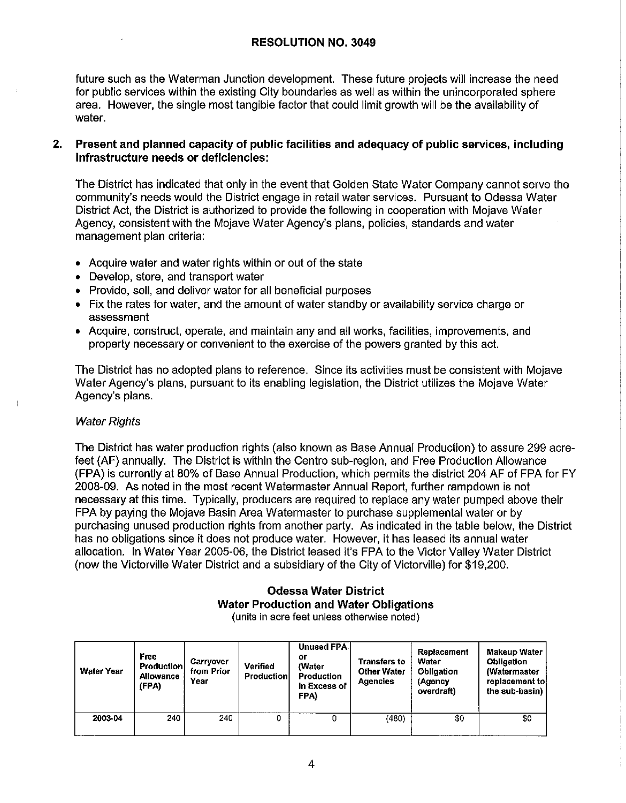future such as the Waterman Junction development. These future projects will increase the need for public services within the existing City boundaries as well as within the unincorporated sphere area. However, the single most tangible factor that could limit growth will be the availability of water.

# **2. Present and planned capacity of public facilities and adequacy of public services, including infrastructure needs or deficiencies:**

The District has indicated that only in the event that Golden State Water Company cannot serve the community's needs would the District engage in retail water services. Pursuant to Odessa Water District Act, the District is authorized to provide the following in cooperation with Mojave Water Agency, consistent with the Mojave Water Agency's plans, policies, standards and water management plan criteria:

- Acquire water and water rights within or out of the state
- Develop, store, and transport water
- Provide, sell, and deliver water for all beneficial purposes
- Fix the rates for water, and the amount of water standby or availability service charge or assessment
- Acquire, construct, operate, and maintain any and all works, facilities, improvements, and property necessary or convenient to the exercise of the powers granted by this act.

The District has no adopted plans to reference. Since its activities must be consistent with Mojave Water Agency's plans, pursuant to its enabling legislation, the District utilizes the Mojave Water Agency's plans.

#### Water Rights

The District has water production rights (also known as Base Annual Production) to assure 299 acrefeet (AF) annually. The District is within the Centro sub-region, and Free Production Allowance (FPA) is currently at 80% of Base Annual Production, which permits the district 204 AF of FPA for FY 2008-09. As noted in the most recent Watermaster Annual Report, further rampdown is not necessary at this time. Typically, producers are required to replace any water pumped above their FPA by paying the Mojave Basin Area Watermaster to purchase supplemental water or by purchasing unused production rights from another party. As indicated in the table below, the District has no obligations since it does not produce water. However, it has leased its annual water allocation. In Water Year 2005-06, the District leased it's FPA to the Victor Valley Water District (now the Victorville Water District and a subsidiary of the City of Victorville) for \$19,200.

# **Odessa Water District Water Production and Water Obligations**

(units in acre feet unless otherwise noted)

| <b>Water Year</b> | Free<br><b>Production</b><br>Allowance<br>(FPA) | Carryover<br>from Prior<br>Year | <b>Verified</b><br>Production | <b>Unused FPA</b><br>or<br>(Water<br><b>Production</b><br>in Excess of<br>FPA) | <b>Transfers to</b><br><b>Other Water</b><br><b>Agencies</b> | <b>Replacement</b><br>Water<br>Obligation<br>(Agency<br>overdraft) | <b>Makeup Water</b><br><b>Obligation</b><br>(Watermaster<br>replacement tol<br>the sub-basin) |
|-------------------|-------------------------------------------------|---------------------------------|-------------------------------|--------------------------------------------------------------------------------|--------------------------------------------------------------|--------------------------------------------------------------------|-----------------------------------------------------------------------------------------------|
| 2003-04           | 240                                             | 240                             | 0                             |                                                                                | (480)                                                        | \$0                                                                | \$0                                                                                           |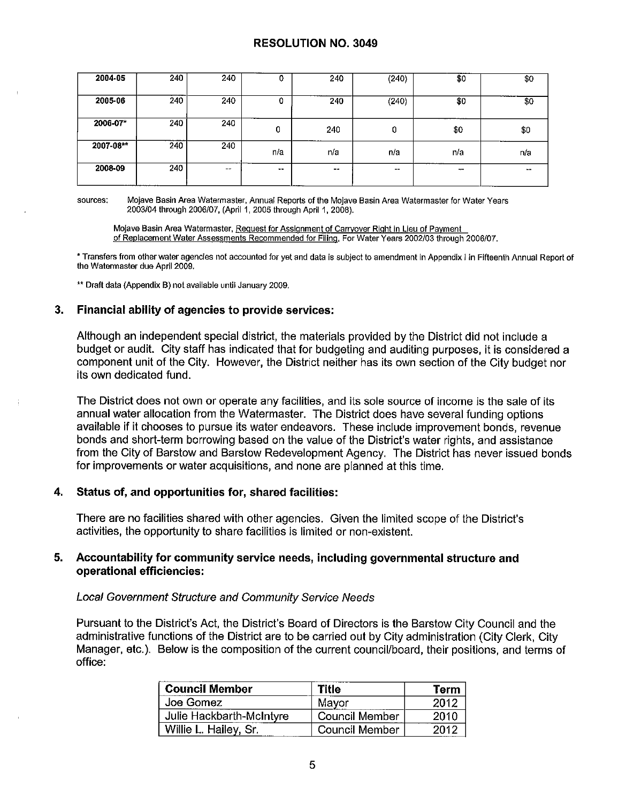| 2004-05   | 240 | 240           | υ      | 240 | (240)                    | \$0 | \$0    |
|-----------|-----|---------------|--------|-----|--------------------------|-----|--------|
| 2005-06   | 240 | 240           | U      | 240 | (240)                    | \$0 | \$0    |
| 2006-07*  | 240 | 240           | 0      | 240 | r<br>ັບ                  | \$0 | \$0    |
| 2007-08** | 240 | 240           | n/a    | n/a | n/a                      | n a | n/a    |
| 2008-09   | 240 | $\sim$ $\sim$ | $\sim$ | --  | $\overline{\phantom{m}}$ | --  | $\sim$ |

**sources; Mojave Basin Area Watermaster, Annual Reports of the Mojave Basin Area Watermaster for Water Years**  2003/04 through 2006/07, (April 1, 2005 through April 1, 2008).

**Mojave Basin Area Watermaster, Request for Assignment of Carryover Right in Lieu of Payment of Replacement Water Assessments Recommended for Filing. For Water Years 2002/03 through 2006/07.** 

\* **Transfers from other water agencies not accounted for yet and data is subject to amendment In Appendix I in Fifteenth Annual Report of the Watermaster due April 2009.** 

\*\* **Draft data {Appendix B) not available until January 2009.** 

### **3. Financial ability of agencies to provide services:**

Although an independent special district, the materials provided by the District did not include a budget or audit. City staff has indicated that for budgeting and auditing purposes, it is considered a component unit of the City. However, the District neither has its own section of the City budget nor its own dedicated fund.

The District does not own or operate any facilities, and its sole source of income is the sale of its annual water allocation from the Watermaster. The District does have several funding options available if it chooses to pursue its water endeavors. These include improvement bonds, revenue bonds and short-term borrowing based on the value of the District's water rights, and assistance from the City of Barstow and Barstow Redevelopment Agency. The District has never issued bonds for improvements or water acquisitions, and none are planned at this time.

#### **4. Status of, and opportunities for, shared facilities:**

There are no facilities shared with other agencies. Given the limited scope of the District's activities, the opportunity to share facilities is limited or non-existent.

### **5. Accountability for community service needs, including governmental structure and operational efficiencies:**

#### Local Government Structure and Community Service Needs

Pursuant to the District's Act, the District's Board of Directors is the Barstow City Council and the administrative functions of the District are to be carried out by City administration (City Clerk, City Manager, etc.). Below is the composition of the current council/board, their positions, and terms of office:

| <b>Council Member</b>    | <b>Title</b>          | Term |
|--------------------------|-----------------------|------|
| Joe Gomez                | Mayor                 | 2012 |
| Julie Hackbarth-McIntyre | <b>Council Member</b> | 2010 |
| Willie L. Hailey, Sr.    | Council Member        | 2012 |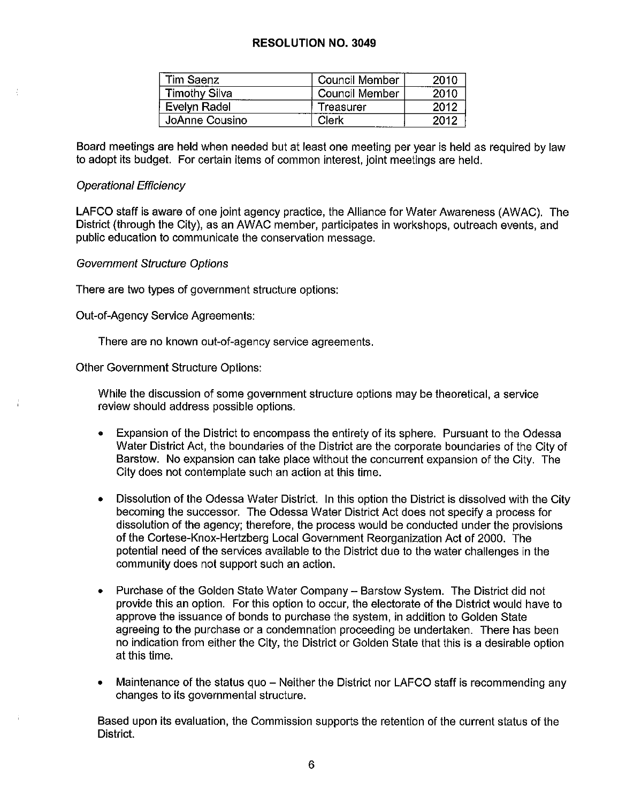| Tim Saenz            | Council Member | 2010 |
|----------------------|----------------|------|
| <b>Timothy Silva</b> | Council Member | 2010 |
| Evelyn Radel         | Treasurer      | 2012 |
| JoAnne Cousino       | Clerk          | 2012 |

Board meetings are held when needed but at least one meeting per year is held as required by law to adopt its budget. For certain items of common interest, joint meetings are held.

#### Operational Efficiency

LAFCO staff is aware of one joint agency practice, the Alliance for Water Awareness (AWAC). The District (through the City), as an AWAC member, participates in workshops, outreach events, and public education to communicate the conservation message.

Government Structure Options

There are two types of government structure options:

Out-of-Agency Service Agreements:

There are no known out-of-agency service agreements.

other Government Structure Options:

While the discussion of some government structure options may be theoretical, a service review should address possible options.

- Expansion of the District to encompass the entirety of its sphere. Pursuant to the Odessa Water District Act, the boundaries of the District are the corporate boundaries of the City of Barstow. No expansion can take place without the concurrent expansion of the City. The City does not contemplate such an action at this time.
- Dissolution of the Odessa Water District. In this option the District is dissolved with the City becoming the successor. The Odessa Water District Act does not specify a process for dissolution of the agency; therefore, the process would be conducted under the provisions of the Cortese-Knox-Hertzberg Local Government Reorganization Act of 2000. The potential need of the services available to the District due to the water challenges in the community does not support such an action.
- Purchase of the Golden State Water Company Barstow System. The District did not provide this an option. For this option to occur, the electorate of the District would have to approve the issuance of bonds to purchase the system, in addition to Golden State agreeing to the purchase or a condemnation proceeding be undertaken. There has been no indication from either the City, the District or Golden State that this is a desirable option at this time.
- Maintenance of the status quo Neither the District nor LAFCO staff is recommending any changes to its governmental structure.

Based upon its evaluation, the Commission supports the retention of the current status of the District.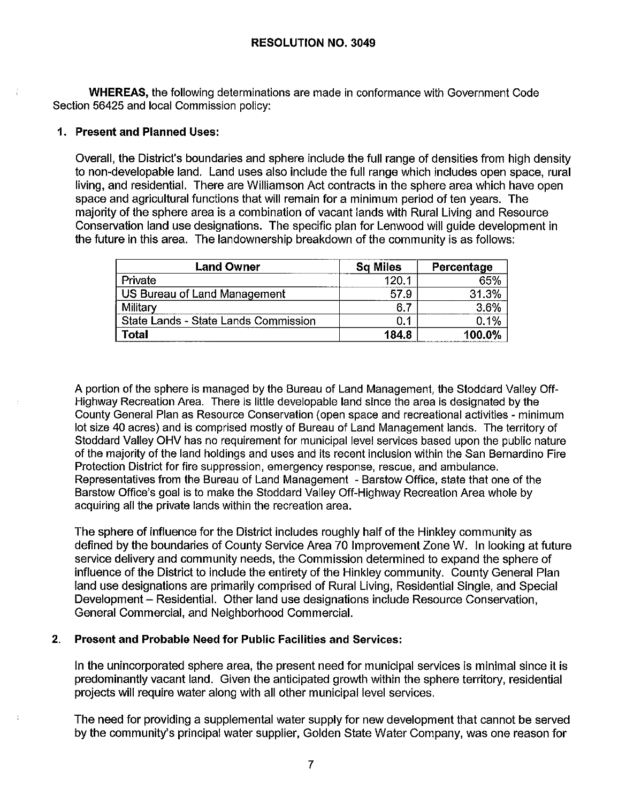**WHEREAS,** the following determinations are made in conformance with Government Code Section 56425 and local Commission policy:

## **1. Present and Planned Uses:**

Overall, the District's boundaries and sphere include the full range of densities from high density to non-developable land. Land uses also include the full range which includes open space, rural living, and residential. There are Williamson Act contracts in the sphere area which have open space and agricultural functions that will remain for a minimum period of ten years. The majority of the sphere area is a combination of vacant lands with Rural Living and Resource Conservation land use designations. The specific plan for Lenwood will guide development in the future in this area. The landownership breakdown of the community is as follows:

| <b>Land Owner</b>                    | <b>Sq Miles</b> | Percentage |
|--------------------------------------|-----------------|------------|
| Private                              | 120.1           | 65%        |
| US Bureau of Land Management         | 57.9            | 31.3%      |
| Military                             | 6.              | 3.6%       |
| State Lands - State Lands Commission | 0.1             | 0.1%       |
| <b>Total</b>                         | 184.8           | 100.0%     |

A portion of the sphere is managed by the Bureau of Land Management, the Stoddard Valley Off-Highway Recreation Area. There is little developable land since the area is designated by the County General Plan as Resource Conservation ( open space and recreational activities - minimum lot size 40 acres) and is comprised mostly of Bureau of Land Management lands. The territory of Stoddard Valley OHV has no requirement for municipal level services based upon the public nature of the majority of the land holdings and uses and its recent inclusion within the San Bernardino Fire Protection District for fire suppression, emergency response, rescue, and ambulance. Representatives from the Bureau of Land Management - Barstow Office, state that one of the Barstow Office's goal is to make the Stoddard Valley Off-Highway Recreation Area whole by acquiring all the private lands within the recreation area.

The sphere of influence for the District includes roughly half of the Hinkley community as defined by the boundaries of County Service Area 70 Improvement Zone W. In looking at future service delivery and community needs, the Commission determined to expand the sphere of influence of the District to include the entirety of the Hinkley community. County General Plan land use designations are primarily comprised of Rural Living, Residential Single, and Special Development - Residential. Other land use designations include Resource Conservation, General Commercial, and Neighborhood Commercial.

# **2. Present and Probable Need for Public Facilities and Services:**

In the unincorporated sphere area, the present need for municipal services is minimal since it is predominantly vacant land. Given the anticipated growth within the sphere territory, residential projects will require water along with all other municipal level services.

The need for providing a supplemental water supply for new development that cannot be served by the community's principal water supplier, Golden State Water Company, was one reason for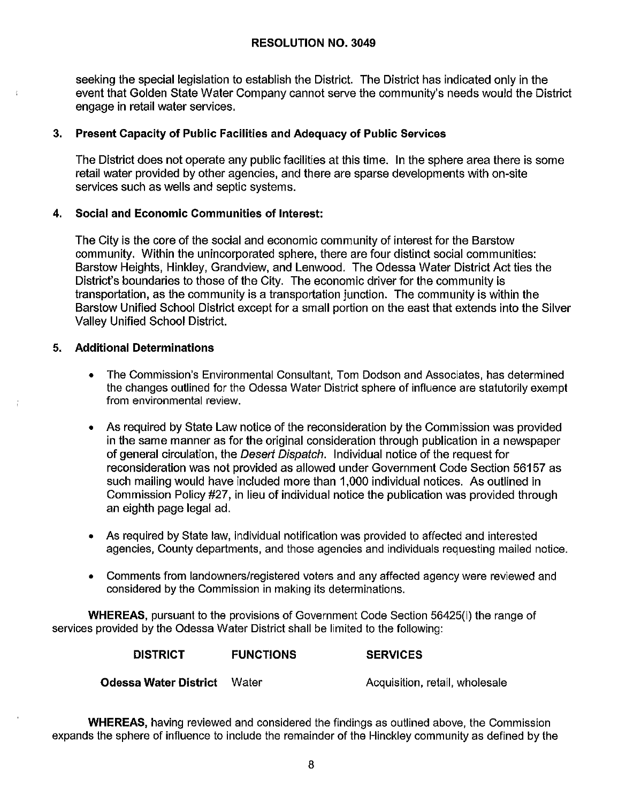seeking the special legislation to establish the District. The District has indicated only in the event that Golden State Water Company cannot serve the community's needs would the District engage in retail water services.

# **3. Present Capacity of Public Facilities and Adequacy of Public Services**

The District does not operate any public facilities at this time. In the sphere area there is some retail water provided by other agencies, and there are sparse developments with on-site services such as wells and septic systems.

# **4. Social and Economic Communities of Interest:**

The City is the core of the social and economic community of interest for the Barstow community. Within the unincorporated sphere, there are four distinct social communities: Barstow Heights, Hinkley, Grandview, and Lenwood. The Odessa Water District Act ties the District's boundaries to those of the City. The economic driver for the community is transportation, as the community is a transportation junction. The community is within the Barstow Unified School District except for a small portion on the east that extends into the Silver Valley Unified School District.

# 5. **Additional Determinations**

- The Commission's Environmental Consultant, Tom Dodson and Associates, has determined the changes outlined for the Odessa Water District sphere of influence are statutorily exempt from environmental review.
- As required by State Law notice of the reconsideration by the Commission was provided in the same manner as for the original consideration through publication in a newspaper of general circulation, the Desert Dispatch. Individual notice of the request for reconsideration was not provided as allowed under Government Code Section 56157 as such mailing would have included more than 1,000 individual notices. As outlined in Commission Policy #27, in lieu of individual notice the publication was provided through an eighth page legal ad.
- As required by State law, individual notification was provided to affected and interested agencies, County departments, and those agencies and individuals requesting mailed notice.
- Comments from landowners/registered voters and any affected agency were reviewed and considered by the Commission in making its determinations.

**WHEREAS,** pursuant to the provisions of Government Code Section 56425(i) the range of services provided by the Odessa Water District shall be limited to the following:

| <b>DISTRICT</b>       | <b>FUNCTIONS</b> | <b>SERVICES</b>                |
|-----------------------|------------------|--------------------------------|
| Odessa Water District | Water            | Acquisition, retail, wholesale |

**WHEREAS,** having reviewed and considered the findings as outlined above, the Commission expands the sphere of influence to include the remainder of the Hinckley community as defined by the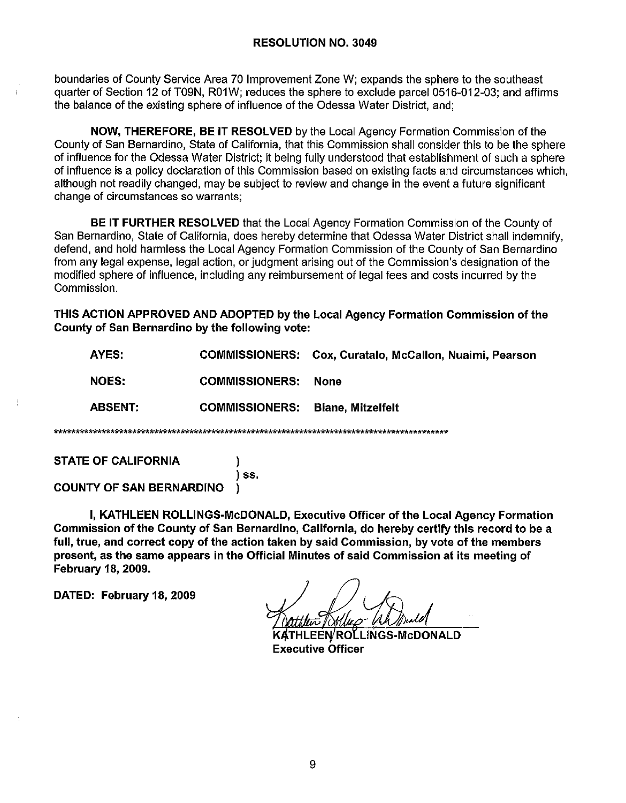boundaries of County Service Area 70 Improvement Zone W; expands the sphere to the southeast quarter of Section 12 of T09N, R01W; reduces the sphere to exclude parcel 0516-012-03; and affirms the balance of the existing sphere of influence of the Odessa Water District, and;

**NOW, THEREFORE, BE IT RESOLVED** by the Local Agency Formation Commission of the County of San Bernardino. State of California, that this Commission shall consider this to be the sphere of influence for the Odessa Water District; it being fully understood that establishment of such a sphere of influence is a policy declaration of this Commission based on existing facts and circumstances which, although not readily changed, may be subject to review and change in the event a future significant change of circumstances so warrants;

**BE IT FURTHER RESOLVED** that the Local Agency Formation Commission of the County of San Bernardino, State of California, does hereby determine that Odessa Water District shall indemnify, defend, and hold harmless the Local Agency Formation Commission of the County of San Bernardino from any legal expense, legal action, or judgment arising out of the Commission's designation of the modified sphere of influence, including any reimbursement of legal fees and costs incurred by the **Commission** 

THIS ACTION APPROVED AND ADOPTED by the Local Agency Formation Commission of the County of San Bernardino by the following vote:

| AYES:          |                       | <b>COMMISSIONERS: Cox, Curatalo, McCallon, Nuaimi, Pearson</b> |  |
|----------------|-----------------------|----------------------------------------------------------------|--|
| <b>NOES:</b>   | <b>COMMISSIONERS:</b> | None                                                           |  |
| <b>ABSENT:</b> | <b>COMMISSIONERS:</b> | <b>Biane, Mitzelfelt</b>                                       |  |
|                |                       |                                                                |  |

**STATE OF CALIFORNIA** 

\*\*\*\*\*\*\*

) ss.

**COUNTY OF SAN BERNARDINO** 

I, KATHLEEN ROLLINGS-McDONALD, Executive Officer of the Local Agency Formation Commission of the County of San Bernardino, California, do hereby certify this record to be a full, true, and correct copy of the action taken by said Commission, by vote of the members present, as the same appears in the Official Minutes of said Commission at its meeting of **February 18, 2009.** 

DATED: February 18, 2009

**EEN/ROLLINGS-McDONALD Executive Officer**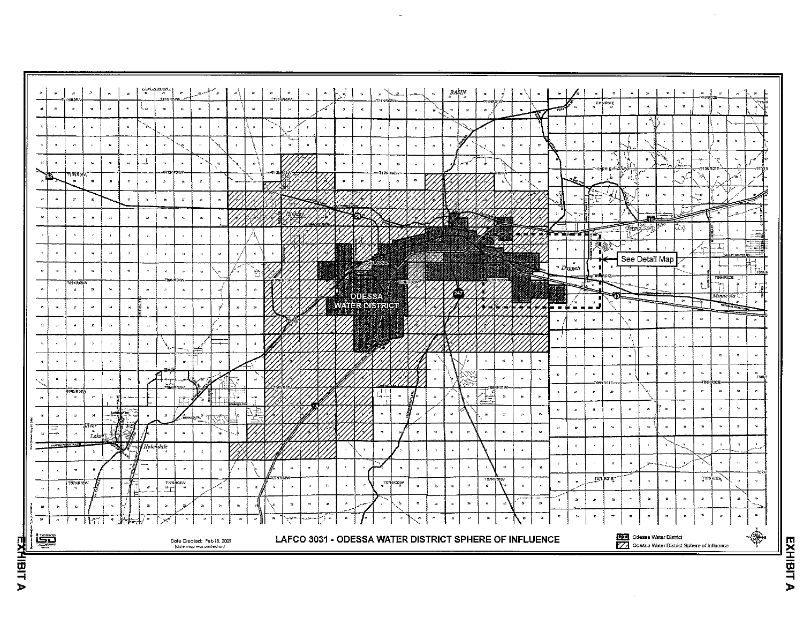